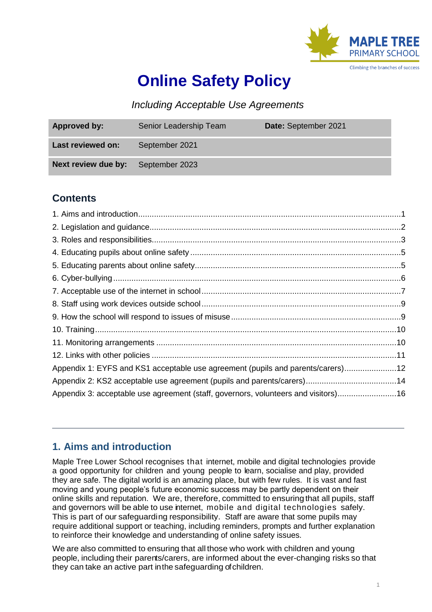

# **Online Safety Policy**

*Including Acceptable Use Agreements*

| <b>Approved by:</b>                       | Senior Leadership Team | Date: September 2021 |
|-------------------------------------------|------------------------|----------------------|
| Last reviewed on:                         | September 2021         |                      |
| <b>Next review due by:</b> September 2023 |                        |                      |

## **Contents**

| Appendix 1: EYFS and KS1 acceptable use agreement (pupils and parents/carers)12    |  |
|------------------------------------------------------------------------------------|--|
|                                                                                    |  |
| Appendix 3: acceptable use agreement (staff, governors, volunteers and visitors)16 |  |
|                                                                                    |  |

## <span id="page-0-0"></span>**1. Aims and introduction**

Maple Tree Lower School recognises that internet, mobile and digital technologies provide a good opportunity for children and young people to learn, socialise and play, provided they are safe. The digital world is an amazing place, but with few rules. It is vast and fast moving and young people's future economic success may be partly dependent on their online skills and reputation. We are, therefore, committed to ensuring that all pupils, staff and governors will be able to use internet, mobile and digital technologies safely. This is part of our safeguarding responsibility. Staff are aware that some pupils may require additional support or teaching, including reminders, prompts and further explanation to reinforce their knowledge and understanding of online safety issues.

We are also committed to ensuring that all those who work with children and young people, including their parents/carers, are informed about the ever-changing risks so that they can take an active part inthe safeguarding of children.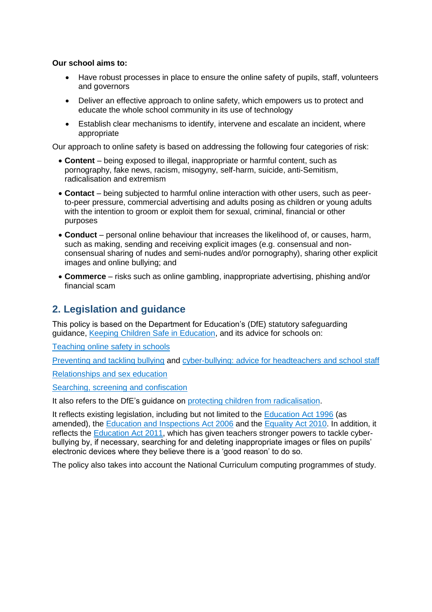#### **Our school aims to:**

- Have robust processes in place to ensure the online safety of pupils, staff, volunteers and governors
- Deliver an effective approach to online safety, which empowers us to protect and educate the whole school community in its use of technology
- Establish clear mechanisms to identify, intervene and escalate an incident, where appropriate

Our approach to online safety is based on addressing the following four categories of risk:

- **Content** being exposed to illegal, inappropriate or harmful content, such as pornography, fake news, racism, misogyny, self-harm, suicide, anti-Semitism, radicalisation and extremism
- **Contact** being subjected to harmful online interaction with other users, such as peerto-peer pressure, commercial advertising and adults posing as children or young adults with the intention to groom or exploit them for sexual, criminal, financial or other purposes
- **Conduct** personal online behaviour that increases the likelihood of, or causes, harm, such as making, sending and receiving explicit images (e.g. consensual and nonconsensual sharing of nudes and semi-nudes and/or pornography), sharing other explicit images and online bullying; and
- **Commerce** risks such as online gambling, inappropriate advertising, phishing and/or financial scam

## <span id="page-1-0"></span>**2. Legislation and guidance**

This policy is based on the Department for Education's (DfE) statutory safeguarding guidance, [Keeping Children Safe in Education,](https://www.gov.uk/government/publications/keeping-children-safe-in-education--2) and its advice for schools on:

[Teaching online safety in schools](https://www.gov.uk/government/publications/teaching-online-safety-in-schools)

[Preventing and tackling bullying](https://www.gov.uk/government/publications/preventing-and-tackling-bullying) and [cyber-bullying: advice for headteachers and school staff](https://www.gov.uk/government/publications/preventing-and-tackling-bullying)

[Relationships and sex education](https://www.gov.uk/government/publications/relationships-education-relationships-and-sex-education-rse-and-health-education)

[Searching, screening and confiscation](https://www.gov.uk/government/publications/searching-screening-and-confiscation)

It also refers to the DfE's guidance on [protecting children from radicalisation.](https://www.gov.uk/government/publications/protecting-children-from-radicalisation-the-prevent-duty)

It reflects existing legislation, including but not limited to the **Education Act 1996** (as amended), the [Education and Inspections Act 2006](https://www.legislation.gov.uk/ukpga/2006/40/contents) and the [Equality Act 2010.](https://www.legislation.gov.uk/ukpga/2010/15/contents) In addition, it reflects the **Education Act 2011**, which has given teachers stronger powers to tackle cyberbullying by, if necessary, searching for and deleting inappropriate images or files on pupils' electronic devices where they believe there is a 'good reason' to do so.

The policy also takes into account the National Curriculum computing programmes of study.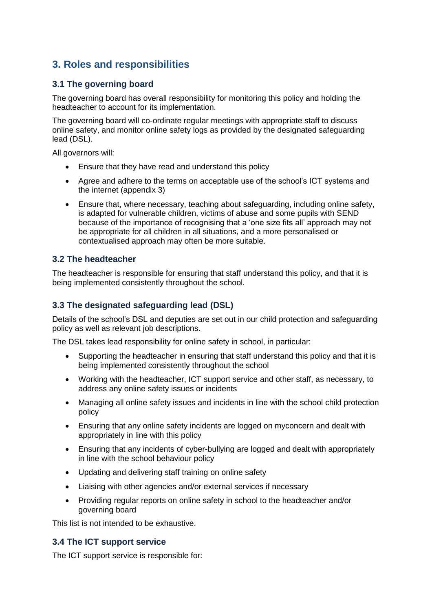## <span id="page-2-0"></span>**3. Roles and responsibilities**

## **3.1 The governing board**

The governing board has overall responsibility for monitoring this policy and holding the headteacher to account for its implementation.

The governing board will co-ordinate regular meetings with appropriate staff to discuss online safety, and monitor online safety logs as provided by the designated safeguarding lead (DSL).

All governors will:

- Ensure that they have read and understand this policy
- Agree and adhere to the terms on acceptable use of the school's ICT systems and the internet (appendix 3)
- Ensure that, where necessary, teaching about safeguarding, including online safety, is adapted for vulnerable children, victims of abuse and some pupils with SEND because of the importance of recognising that a 'one size fits all' approach may not be appropriate for all children in all situations, and a more personalised or contextualised approach may often be more suitable.

### **3.2 The headteacher**

The headteacher is responsible for ensuring that staff understand this policy, and that it is being implemented consistently throughout the school.

### **3.3 The designated safeguarding lead (DSL)**

Details of the school's DSL and deputies are set out in our child protection and safeguarding policy as well as relevant job descriptions.

The DSL takes lead responsibility for online safety in school, in particular:

- Supporting the headteacher in ensuring that staff understand this policy and that it is being implemented consistently throughout the school
- Working with the headteacher, ICT support service and other staff, as necessary, to address any online safety issues or incidents
- Managing all online safety issues and incidents in line with the school child protection policy
- Ensuring that any online safety incidents are logged on myconcern and dealt with appropriately in line with this policy
- Ensuring that any incidents of cyber-bullying are logged and dealt with appropriately in line with the school behaviour policy
- Updating and delivering staff training on online safety
- Liaising with other agencies and/or external services if necessary
- Providing regular reports on online safety in school to the headteacher and/or governing board

This list is not intended to be exhaustive.

### **3.4 The ICT support service**

The ICT support service is responsible for: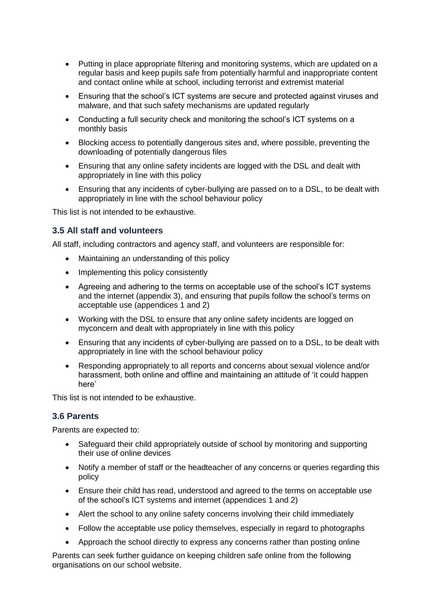- Putting in place appropriate filtering and monitoring systems, which are updated on a regular basis and keep pupils safe from potentially harmful and inappropriate content and contact online while at school, including terrorist and extremist material
- Ensuring that the school's ICT systems are secure and protected against viruses and malware, and that such safety mechanisms are updated regularly
- Conducting a full security check and monitoring the school's ICT systems on a monthly basis
- Blocking access to potentially dangerous sites and, where possible, preventing the downloading of potentially dangerous files
- Ensuring that any online safety incidents are logged with the DSL and dealt with appropriately in line with this policy
- Ensuring that any incidents of cyber-bullying are passed on to a DSL, to be dealt with appropriately in line with the school behaviour policy

This list is not intended to be exhaustive.

### **3.5 All staff and volunteers**

All staff, including contractors and agency staff, and volunteers are responsible for:

- Maintaining an understanding of this policy
- Implementing this policy consistently
- Agreeing and adhering to the terms on acceptable use of the school's ICT systems and the internet (appendix 3), and ensuring that pupils follow the school's terms on acceptable use (appendices 1 and 2)
- Working with the DSL to ensure that any online safety incidents are logged on myconcern and dealt with appropriately in line with this policy
- Ensuring that any incidents of cyber-bullying are passed on to a DSL, to be dealt with appropriately in line with the school behaviour policy
- Responding appropriately to all reports and concerns about sexual violence and/or harassment, both online and offline and maintaining an attitude of 'it could happen here'

This list is not intended to be exhaustive.

### **3.6 Parents**

Parents are expected to:

- Safeguard their child appropriately outside of school by monitoring and supporting their use of online devices
- Notify a member of staff or the headteacher of any concerns or queries regarding this policy
- Ensure their child has read, understood and agreed to the terms on acceptable use of the school's ICT systems and internet (appendices 1 and 2)
- Alert the school to any online safety concerns involving their child immediately
- Follow the acceptable use policy themselves, especially in regard to photographs
- Approach the school directly to express any concerns rather than posting online

Parents can seek further guidance on keeping children safe online from the following organisations on our school website.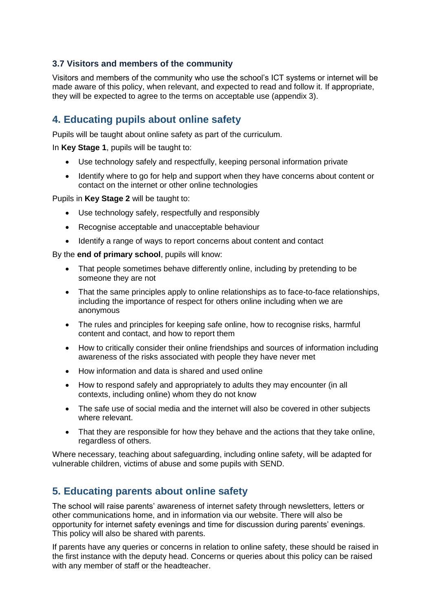## **3.7 Visitors and members of the community**

Visitors and members of the community who use the school's ICT systems or internet will be made aware of this policy, when relevant, and expected to read and follow it. If appropriate, they will be expected to agree to the terms on acceptable use (appendix 3).

## <span id="page-4-0"></span>**4. Educating pupils about online safety**

Pupils will be taught about online safety as part of the curriculum.

In **Key Stage 1**, pupils will be taught to:

- Use technology safely and respectfully, keeping personal information private
- Identify where to go for help and support when they have concerns about content or contact on the internet or other online technologies

Pupils in **Key Stage 2** will be taught to:

- Use technology safely, respectfully and responsibly
- Recognise acceptable and unacceptable behaviour
- Identify a range of ways to report concerns about content and contact

By the **end of primary school**, pupils will know:

- That people sometimes behave differently online, including by pretending to be someone they are not
- That the same principles apply to online relationships as to face-to-face relationships, including the importance of respect for others online including when we are anonymous
- The rules and principles for keeping safe online, how to recognise risks, harmful content and contact, and how to report them
- How to critically consider their online friendships and sources of information including awareness of the risks associated with people they have never met
- How information and data is shared and used online
- How to respond safely and appropriately to adults they may encounter (in all contexts, including online) whom they do not know
- The safe use of social media and the internet will also be covered in other subjects where relevant.
- That they are responsible for how they behave and the actions that they take online, regardless of others.

Where necessary, teaching about safeguarding, including online safety, will be adapted for vulnerable children, victims of abuse and some pupils with SEND.

## <span id="page-4-1"></span>**5. Educating parents about online safety**

The school will raise parents' awareness of internet safety through newsletters, letters or other communications home, and in information via our website. There will also be opportunity for internet safety evenings and time for discussion during parents' evenings. This policy will also be shared with parents.

If parents have any queries or concerns in relation to online safety, these should be raised in the first instance with the deputy head. Concerns or queries about this policy can be raised with any member of staff or the headteacher.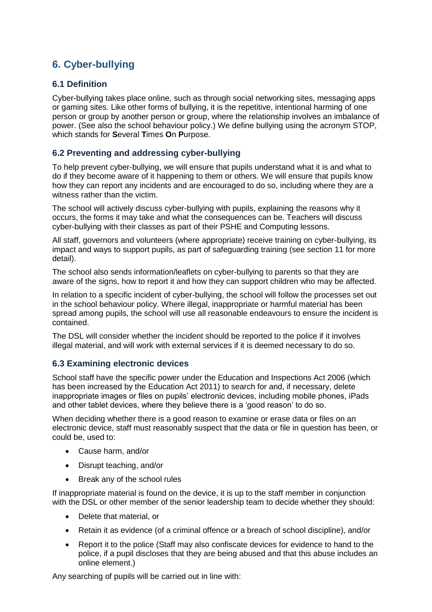## <span id="page-5-0"></span>**6. Cyber-bullying**

## **6.1 Definition**

Cyber-bullying takes place online, such as through social networking sites, messaging apps or gaming sites. Like other forms of bullying, it is the repetitive, intentional harming of one person or group by another person or group, where the relationship involves an imbalance of power. (See also the school behaviour policy.) We define bullying using the acronym STOP, which stands for **S**everal **T**imes **O**n **P**urpose.

## **6.2 Preventing and addressing cyber-bullying**

To help prevent cyber-bullying, we will ensure that pupils understand what it is and what to do if they become aware of it happening to them or others. We will ensure that pupils know how they can report any incidents and are encouraged to do so, including where they are a witness rather than the victim.

The school will actively discuss cyber-bullying with pupils, explaining the reasons why it occurs, the forms it may take and what the consequences can be. Teachers will discuss cyber-bullying with their classes as part of their PSHE and Computing lessons.

All staff, governors and volunteers (where appropriate) receive training on cyber-bullying, its impact and ways to support pupils, as part of safeguarding training (see section 11 for more detail).

The school also sends information/leaflets on cyber-bullying to parents so that they are aware of the signs, how to report it and how they can support children who may be affected.

In relation to a specific incident of cyber-bullying, the school will follow the processes set out in the school behaviour policy. Where illegal, inappropriate or harmful material has been spread among pupils, the school will use all reasonable endeavours to ensure the incident is contained.

The DSL will consider whether the incident should be reported to the police if it involves illegal material, and will work with external services if it is deemed necessary to do so.

### **6.3 Examining electronic devices**

School staff have the specific power under the Education and Inspections Act 2006 (which has been increased by the Education Act 2011) to search for and, if necessary, delete inappropriate images or files on pupils' electronic devices, including mobile phones, iPads and other tablet devices, where they believe there is a 'good reason' to do so.

When deciding whether there is a good reason to examine or erase data or files on an electronic device, staff must reasonably suspect that the data or file in question has been, or could be, used to:

- Cause harm, and/or
- Disrupt teaching, and/or
- Break any of the school rules

If inappropriate material is found on the device, it is up to the staff member in conjunction with the DSL or other member of the senior leadership team to decide whether they should:

- Delete that material, or
- Retain it as evidence (of a criminal offence or a breach of school discipline), and/or
- Report it to the police (Staff may also confiscate devices for evidence to hand to the police, if a pupil discloses that they are being abused and that this abuse includes an online element.)

Any searching of pupils will be carried out in line with: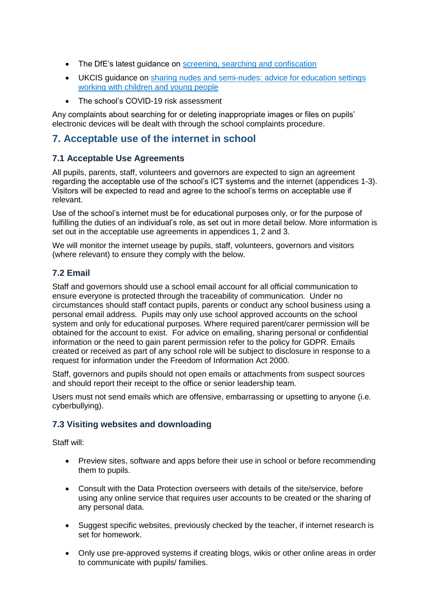- The DfE's latest guidance on [screening, searching and confiscation](https://www.gov.uk/government/publications/searching-screening-and-confiscation)
- UKCIS guidance on [sharing nudes and semi-nudes: advice for education settings](https://www.gov.uk/government/publications/sharing-nudes-and-semi-nudes-advice-for-education-settings-working-with-children-and-young-people)  [working with children and young people](https://www.gov.uk/government/publications/sharing-nudes-and-semi-nudes-advice-for-education-settings-working-with-children-and-young-people)
- The school's COVID-19 risk assessment

Any complaints about searching for or deleting inappropriate images or files on pupils' electronic devices will be dealt with through the school complaints procedure.

## <span id="page-6-0"></span>**7. Acceptable use of the internet in school**

## **7.1 Acceptable Use Agreements**

All pupils, parents, staff, volunteers and governors are expected to sign an agreement regarding the acceptable use of the school's ICT systems and the internet (appendices 1-3). Visitors will be expected to read and agree to the school's terms on acceptable use if relevant.

Use of the school's internet must be for educational purposes only, or for the purpose of fulfilling the duties of an individual's role, as set out in more detail below. More information is set out in the acceptable use agreements in appendices 1, 2 and 3.

We will monitor the internet useage by pupils, staff, volunteers, governors and visitors (where relevant) to ensure they comply with the below.

## **7.2 Email**

Staff and governors should use a school email account for all official communication to ensure everyone is protected through the traceability of communication. Under no circumstances should staff contact pupils, parents or conduct any school business using a personal email address. Pupils may only use school approved accounts on the school system and only for educational purposes. Where required parent/carer permission will be obtained for the account to exist. For advice on emailing, sharing personal or confidential information or the need to gain parent permission refer to the policy for GDPR. Emails created or received as part of any school role will be subject to disclosure in response to a request for information under the Freedom of Information Act 2000.

Staff, governors and pupils should not open emails or attachments from suspect sources and should report their receipt to the office or senior leadership team.

Users must not send emails which are offensive, embarrassing or upsetting to anyone (i.e. cyberbullying).

### **7.3 Visiting websites and downloading**

Staff will:

- Preview sites, software and apps before their use in school or before recommending them to pupils.
- Consult with the Data Protection overseers with details of the site/service, before using any online service that requires user accounts to be created or the sharing of any personal data.
- Suggest specific websites, previously checked by the teacher, if internet research is set for homework.
- Only use pre-approved systems if creating blogs, wikis or other online areas in order to communicate with pupils/ families.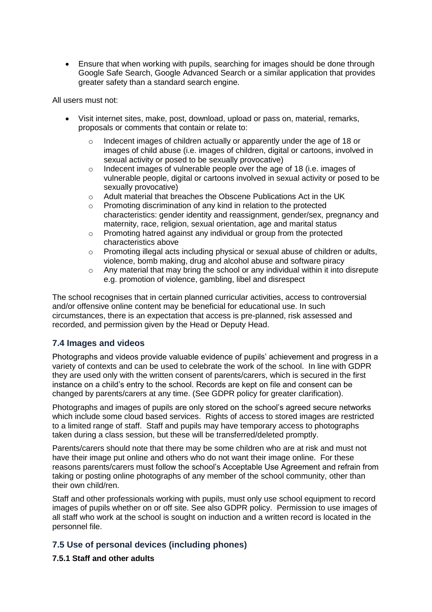Ensure that when working with pupils, searching for images should be done through Google Safe Search, Google Advanced Search or a similar application that provides greater safety than a standard search engine.

All users must not:

- Visit internet sites, make, post, download, upload or pass on, material, remarks, proposals or comments that contain or relate to:
	- $\circ$  Indecent images of children actually or apparently under the age of 18 or images of child abuse (i.e. images of children, digital or cartoons, involved in sexual activity or posed to be sexually provocative)
	- o Indecent images of vulnerable people over the age of 18 (i.e. images of vulnerable people, digital or cartoons involved in sexual activity or posed to be sexually provocative)
	- o Adult material that breaches the Obscene Publications Act in the UK
	- o Promoting discrimination of any kind in relation to the protected characteristics: gender identity and reassignment, gender/sex, pregnancy and maternity, race, religion, sexual orientation, age and marital status
	- o Promoting hatred against any individual or group from the protected characteristics above
	- $\circ$  Promoting illegal acts including physical or sexual abuse of children or adults, violence, bomb making, drug and alcohol abuse and software piracy
	- o Any material that may bring the school or any individual within it into disrepute e.g. promotion of violence, gambling, libel and disrespect

The school recognises that in certain planned curricular activities, access to controversial and/or offensive online content may be beneficial for educational use. In such circumstances, there is an expectation that access is pre-planned, risk assessed and recorded, and permission given by the Head or Deputy Head.

### **7.4 Images and videos**

Photographs and videos provide valuable evidence of pupils' achievement and progress in a variety of contexts and can be used to celebrate the work of the school. In line with GDPR they are used only with the written consent of parents/carers, which is secured in the first instance on a child's entry to the school. Records are kept on file and consent can be changed by parents/carers at any time. (See GDPR policy for greater clarification).

Photographs and images of pupils are only stored on the school's agreed secure networks which include some cloud based services. Rights of access to stored images are restricted to a limited range of staff. Staff and pupils may have temporary access to photographs taken during a class session, but these will be transferred/deleted promptly.

Parents/carers should note that there may be some children who are at risk and must not have their image put online and others who do not want their image online. For these reasons parents/carers must follow the school's Acceptable Use Agreement and refrain from taking or posting online photographs of any member of the school community, other than their own child/ren.

Staff and other professionals working with pupils, must only use school equipment to record images of pupils whether on or off site. See also GDPR policy. Permission to use images of all staff who work at the school is sought on induction and a written record is located in the personnel file.

### **7.5 Use of personal devices (including phones)**

### **7.5.1 Staff and other adults**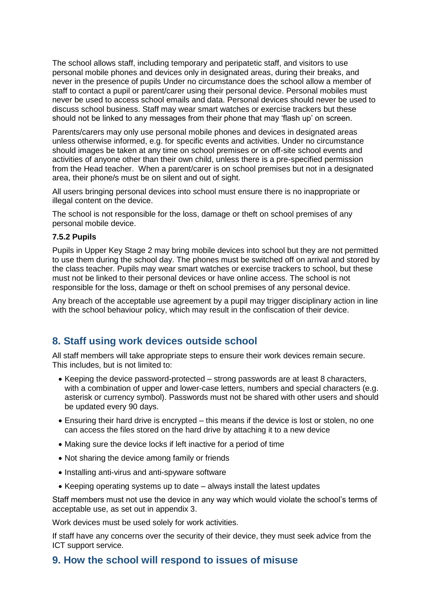The school allows staff, including temporary and peripatetic staff, and visitors to use personal mobile phones and devices only in designated areas, during their breaks, and never in the presence of pupils Under no circumstance does the school allow a member of staff to contact a pupil or parent/carer using their personal device. Personal mobiles must never be used to access school emails and data. Personal devices should never be used to discuss school business. Staff may wear smart watches or exercise trackers but these should not be linked to any messages from their phone that may 'flash up' on screen.

Parents/carers may only use personal mobile phones and devices in designated areas unless otherwise informed, e.g. for specific events and activities. Under no circumstance should images be taken at any time on school premises or on off-site school events and activities of anyone other than their own child, unless there is a pre-specified permission from the Head teacher. When a parent/carer is on school premises but not in a designated area, their phone/s must be on silent and out of sight.

All users bringing personal devices into school must ensure there is no inappropriate or illegal content on the device.

The school is not responsible for the loss, damage or theft on school premises of any personal mobile device.

#### **7.5.2 Pupils**

Pupils in Upper Key Stage 2 may bring mobile devices into school but they are not permitted to use them during the school day. The phones must be switched off on arrival and stored by the class teacher. Pupils may wear smart watches or exercise trackers to school, but these must not be linked to their personal devices or have online access. The school is not responsible for the loss, damage or theft on school premises of any personal device.

Any breach of the acceptable use agreement by a pupil may trigger disciplinary action in line with the school behaviour policy, which may result in the confiscation of their device.

## <span id="page-8-0"></span>**8. Staff using work devices outside school**

All staff members will take appropriate steps to ensure their work devices remain secure. This includes, but is not limited to:

- Keeping the device password-protected strong passwords are at least 8 characters, with a combination of upper and lower-case letters, numbers and special characters (e.g. asterisk or currency symbol). Passwords must not be shared with other users and should be updated every 90 days.
- Ensuring their hard drive is encrypted this means if the device is lost or stolen, no one can access the files stored on the hard drive by attaching it to a new device
- Making sure the device locks if left inactive for a period of time
- Not sharing the device among family or friends
- Installing anti-virus and anti-spyware software
- Keeping operating systems up to date always install the latest updates

Staff members must not use the device in any way which would violate the school's terms of acceptable use, as set out in appendix 3.

Work devices must be used solely for work activities.

If staff have any concerns over the security of their device, they must seek advice from the ICT support service.

## <span id="page-8-1"></span>**9. How the school will respond to issues of misuse**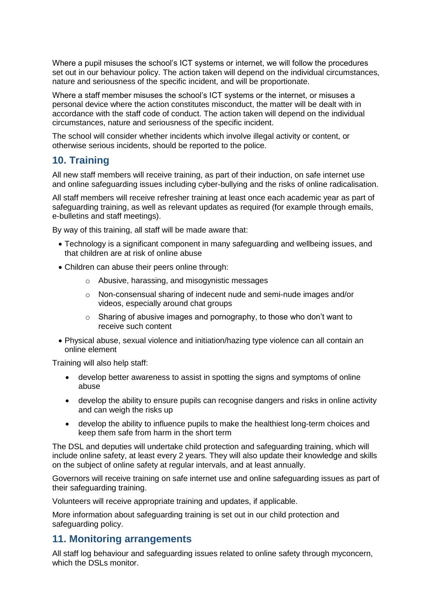Where a pupil misuses the school's ICT systems or internet, we will follow the procedures set out in our behaviour policy. The action taken will depend on the individual circumstances, nature and seriousness of the specific incident, and will be proportionate.

Where a staff member misuses the school's ICT systems or the internet, or misuses a personal device where the action constitutes misconduct, the matter will be dealt with in accordance with the staff code of conduct. The action taken will depend on the individual circumstances, nature and seriousness of the specific incident.

The school will consider whether incidents which involve illegal activity or content, or otherwise serious incidents, should be reported to the police.

## <span id="page-9-0"></span>**10. Training**

All new staff members will receive training, as part of their induction, on safe internet use and online safeguarding issues including cyber-bullying and the risks of online radicalisation.

All staff members will receive refresher training at least once each academic year as part of safeguarding training, as well as relevant updates as required (for example through emails, e-bulletins and staff meetings).

By way of this training, all staff will be made aware that:

- Technology is a significant component in many safeguarding and wellbeing issues, and that children are at risk of online abuse
- Children can abuse their peers online through:
	- o Abusive, harassing, and misogynistic messages
	- o Non-consensual sharing of indecent nude and semi-nude images and/or videos, especially around chat groups
	- o Sharing of abusive images and pornography, to those who don't want to receive such content
- Physical abuse, sexual violence and initiation/hazing type violence can all contain an online element

Training will also help staff:

- develop better awareness to assist in spotting the signs and symptoms of online abuse
- develop the ability to ensure pupils can recognise dangers and risks in online activity and can weigh the risks up
- develop the ability to influence pupils to make the healthiest long-term choices and keep them safe from harm in the short term

The DSL and deputies will undertake child protection and safeguarding training, which will include online safety, at least every 2 years. They will also update their knowledge and skills on the subject of online safety at regular intervals, and at least annually.

Governors will receive training on safe internet use and online safeguarding issues as part of their safeguarding training.

Volunteers will receive appropriate training and updates, if applicable.

More information about safeguarding training is set out in our child protection and safeguarding policy.

## <span id="page-9-1"></span>**11. Monitoring arrangements**

All staff log behaviour and safeguarding issues related to online safety through myconcern, which the DSLs monitor.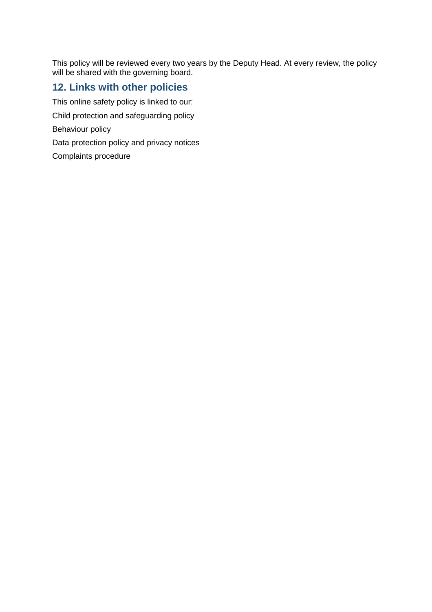This policy will be reviewed every two years by the Deputy Head. At every review, the policy will be shared with the governing board.

## <span id="page-10-0"></span>**12. Links with other policies**

This online safety policy is linked to our:

Child protection and safeguarding policy

Behaviour policy

Data protection policy and privacy notices

Complaints procedure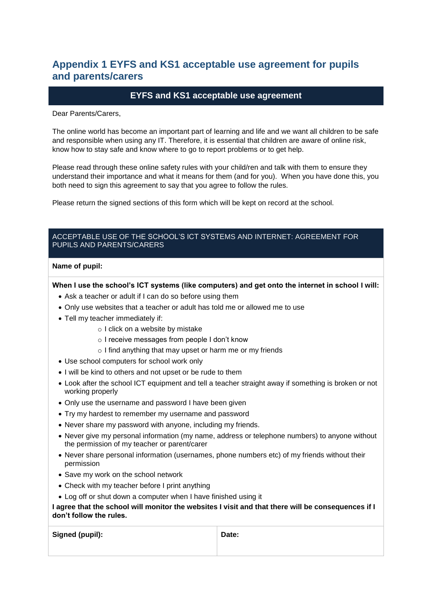## <span id="page-11-0"></span>**Appendix 1 EYFS and KS1 acceptable use agreement for pupils and parents/carers**

### **EYFS and KS1 acceptable use agreement**

Dear Parents/Carers,

The online world has become an important part of learning and life and we want all children to be safe and responsible when using any IT. Therefore, it is essential that children are aware of online risk, know how to stay safe and know where to go to report problems or to get help.

Please read through these online safety rules with your child/ren and talk with them to ensure they understand their importance and what it means for them (and for you). When you have done this, you both need to sign this agreement to say that you agree to follow the rules.

Please return the signed sections of this form which will be kept on record at the school.

#### ACCEPTABLE USE OF THE SCHOOL'S ICT SYSTEMS AND INTERNET: AGREEMENT FOR PUPILS AND PARENTS/CARERS

#### **Name of pupil:**

**When I use the school's ICT systems (like computers) and get onto the internet in school I will:**

- Ask a teacher or adult if I can do so before using them
- Only use websites that a teacher or adult has told me or allowed me to use
- Tell my teacher immediately if:
	- o I click on a website by mistake
	- o I receive messages from people I don't know
	- o I find anything that may upset or harm me or my friends
- Use school computers for school work only
- I will be kind to others and not upset or be rude to them
- Look after the school ICT equipment and tell a teacher straight away if something is broken or not working properly
- Only use the username and password I have been given
- Try my hardest to remember my username and password
- Never share my password with anyone, including my friends.
- Never give my personal information (my name, address or telephone numbers) to anyone without the permission of my teacher or parent/carer
- Never share personal information (usernames, phone numbers etc) of my friends without their permission
- Save my work on the school network
- Check with my teacher before I print anything
- Log off or shut down a computer when I have finished using it

**I agree that the school will monitor the websites I visit and that there will be consequences if I don't follow the rules.**

| Signed (pupil): | Date: |
|-----------------|-------|
|                 |       |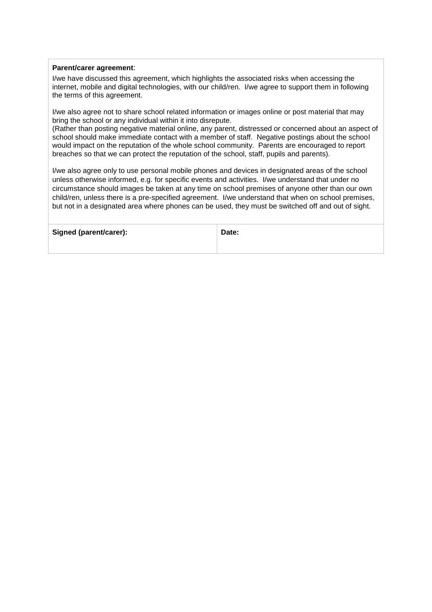#### **Parent/carer agreement**:

I/we have discussed this agreement, which highlights the associated risks when accessing the internet, mobile and digital technologies, with our child/ren. I/we agree to support them in following the terms of this agreement.

I/we also agree not to share school related information or images online or post material that may bring the school or any individual within it into disrepute.

(Rather than posting negative material online, any parent, distressed or concerned about an aspect of school should make immediate contact with a member of staff. Negative postings about the school would impact on the reputation of the whole school community. Parents are encouraged to report breaches so that we can protect the reputation of the school, staff, pupils and parents).

I/we also agree only to use personal mobile phones and devices in designated areas of the school unless otherwise informed, e.g. for specific events and activities. I/we understand that under no circumstance should images be taken at any time on school premises of anyone other than our own child/ren, unless there is a pre-specified agreement. I/we understand that when on school premises, but not in a designated area where phones can be used, they must be switched off and out of sight.

| Signed (parent/carer): | Date: |
|------------------------|-------|
|                        |       |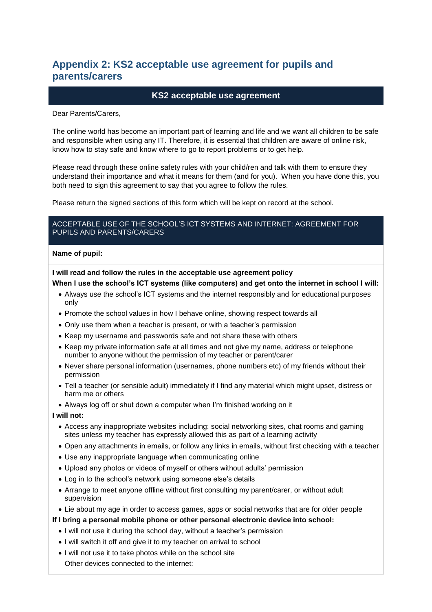## <span id="page-13-0"></span>**Appendix 2: KS2 acceptable use agreement for pupils and parents/carers**

#### **KS2 acceptable use agreement**

Dear Parents/Carers,

The online world has become an important part of learning and life and we want all children to be safe and responsible when using any IT. Therefore, it is essential that children are aware of online risk, know how to stay safe and know where to go to report problems or to get help.

Please read through these online safety rules with your child/ren and talk with them to ensure they understand their importance and what it means for them (and for you). When you have done this, you both need to sign this agreement to say that you agree to follow the rules.

Please return the signed sections of this form which will be kept on record at the school.

#### ACCEPTABLE USE OF THE SCHOOL'S ICT SYSTEMS AND INTERNET: AGREEMENT FOR PUPILS AND PARENTS/CARERS

#### **Name of pupil:**

**I will read and follow the rules in the acceptable use agreement policy**

#### **When I use the school's ICT systems (like computers) and get onto the internet in school I will:**

- Always use the school's ICT systems and the internet responsibly and for educational purposes only
- Promote the school values in how I behave online, showing respect towards all
- Only use them when a teacher is present, or with a teacher's permission
- Keep my username and passwords safe and not share these with others
- Keep my private information safe at all times and not give my name, address or telephone number to anyone without the permission of my teacher or parent/carer
- Never share personal information (usernames, phone numbers etc) of my friends without their permission
- Tell a teacher (or sensible adult) immediately if I find any material which might upset, distress or harm me or others
- Always log off or shut down a computer when I'm finished working on it

#### **I will not:**

- Access any inappropriate websites including: social networking sites, chat rooms and gaming sites unless my teacher has expressly allowed this as part of a learning activity
- Open any attachments in emails, or follow any links in emails, without first checking with a teacher
- Use any inappropriate language when communicating online
- Upload any photos or videos of myself or others without adults' permission
- Log in to the school's network using someone else's details
- Arrange to meet anyone offline without first consulting my parent/carer, or without adult supervision
- Lie about my age in order to access games, apps or social networks that are for older people
- **If I bring a personal mobile phone or other personal electronic device into school:**
	- I will not use it during the school day, without a teacher's permission
	- I will switch it off and give it to my teacher on arrival to school
	- I will not use it to take photos while on the school site Other devices connected to the internet: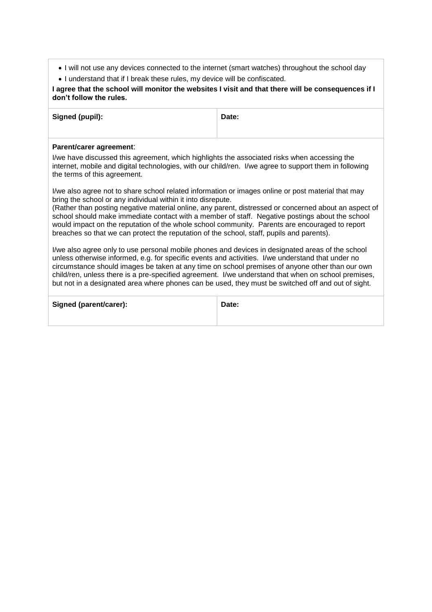- I will not use any devices connected to the internet (smart watches) throughout the school day
- I understand that if I break these rules, my device will be confiscated.

#### **I agree that the school will monitor the websites I visit and that there will be consequences if I don't follow the rules.**

| Signed (pupil): | Date: |
|-----------------|-------|
|                 |       |

#### **Parent/carer agreement**:

I/we have discussed this agreement, which highlights the associated risks when accessing the internet, mobile and digital technologies, with our child/ren. I/we agree to support them in following the terms of this agreement.

I/we also agree not to share school related information or images online or post material that may bring the school or any individual within it into disrepute.

(Rather than posting negative material online, any parent, distressed or concerned about an aspect of school should make immediate contact with a member of staff. Negative postings about the school would impact on the reputation of the whole school community. Parents are encouraged to report breaches so that we can protect the reputation of the school, staff, pupils and parents).

I/we also agree only to use personal mobile phones and devices in designated areas of the school unless otherwise informed, e.g. for specific events and activities. I/we understand that under no circumstance should images be taken at any time on school premises of anyone other than our own child/ren, unless there is a pre-specified agreement. I/we understand that when on school premises, but not in a designated area where phones can be used, they must be switched off and out of sight.

| <b>Signed (parent/carer):</b> | Date: |
|-------------------------------|-------|
|                               |       |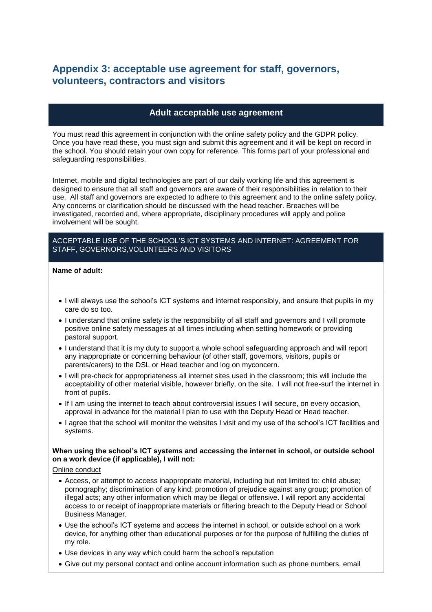## <span id="page-15-0"></span>**Appendix 3: acceptable use agreement for staff, governors, volunteers, contractors and visitors**

#### **Adult acceptable use agreement**

You must read this agreement in conjunction with the online safety policy and the GDPR policy. Once you have read these, you must sign and submit this agreement and it will be kept on record in the school. You should retain your own copy for reference. This forms part of your professional and safeguarding responsibilities.

Internet, mobile and digital technologies are part of our daily working life and this agreement is designed to ensure that all staff and governors are aware of their responsibilities in relation to their use. All staff and governors are expected to adhere to this agreement and to the online safety policy. Any concerns or clarification should be discussed with the head teacher. Breaches will be investigated, recorded and, where appropriate, disciplinary procedures will apply and police involvement will be sought.

#### ACCEPTABLE USE OF THE SCHOOL'S ICT SYSTEMS AND INTERNET: AGREEMENT FOR STAFF, GOVERNORS,VOLUNTEERS AND VISITORS

#### **Name of adult:**

- I will always use the school's ICT systems and internet responsibly, and ensure that pupils in my care do so too.
- I understand that online safety is the responsibility of all staff and governors and I will promote positive online safety messages at all times including when setting homework or providing pastoral support.
- I understand that it is my duty to support a whole school safeguarding approach and will report any inappropriate or concerning behaviour (of other staff, governors, visitors, pupils or parents/carers) to the DSL or Head teacher and log on myconcern.
- I will pre-check for appropriateness all internet sites used in the classroom; this will include the acceptability of other material visible, however briefly, on the site. I will not free-surf the internet in front of pupils.
- If I am using the internet to teach about controversial issues I will secure, on every occasion, approval in advance for the material I plan to use with the Deputy Head or Head teacher.
- I agree that the school will monitor the websites I visit and my use of the school's ICT facilities and systems.

#### **When using the school's ICT systems and accessing the internet in school, or outside school on a work device (if applicable), I will not:**

#### Online conduct

- Access, or attempt to access inappropriate material, including but not limited to: child abuse; pornography; discrimination of any kind; promotion of prejudice against any group; promotion of illegal acts; any other information which may be illegal or offensive. I will report any accidental access to or receipt of inappropriate materials or filtering breach to the Deputy Head or School Business Manager.
- Use the school's ICT systems and access the internet in school, or outside school on a work device, for anything other than educational purposes or for the purpose of fulfilling the duties of my role.
- Use devices in any way which could harm the school's reputation
- Give out my personal contact and online account information such as phone numbers, email